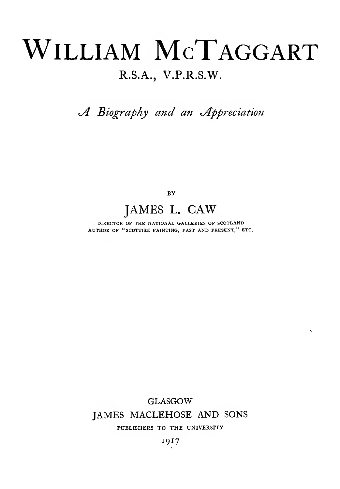# WILLIAM MCTAGGART

#### R.S.A., V.P.R.S.W.

A Biography and an Appreciation

BY

#### JAMES L. CAW

DIRECTOR OF THE NATIONAL GALLERIES OF SCOTLAND AUTHOR OF "SCOTTISH PAINTING, PAST AND PRESENT," ETC.

GLASGOW

 $\tilde{\mathbf{v}}$ 

#### JAMES MACLEHOSE AND SONS

#### PUBLISHERS TO THE UNIVERSITY

I9I7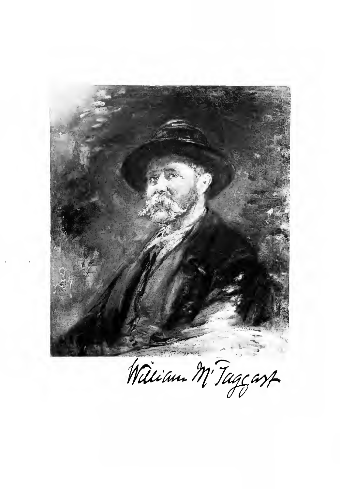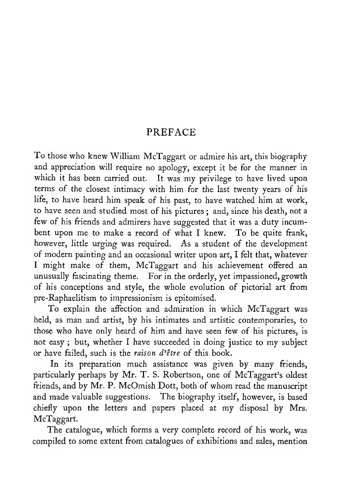#### PREFACE

To those who knew William McTaggart or admire his art, this biography and appreciation will require no apology, except it be for the manner in which it has been carried out. It was my privilege to have lived upon terms of the closest intimacy with him for the last twenty years of his life, to have heard him speak of his past, to have watched him at work, to have seen and studied most of his pictures ; and, since his death, not a few of his friends and admirers have suggested that it was a duty incumbent upon me to make <sup>a</sup> record of what <sup>I</sup> knew. To be quite frank, however, litde urging was required. As a student of the development of modern painting and an occasional writer upon art, <sup>I</sup> felt that, whatever <sup>I</sup> might make of them, McTaggart and his achievement offered an unusually fascinating theme. For in the orderly, yet impassioned, growth of his conceptions and style, the whole evolution of pictorial art from pre-Raphaelitism to impressionism is epitomised.

To explain the affection and admiration in which McTaggart was held, as man and artist, by his intimates and artistic contemporaries, to those who have only heard of him and have seen few of his pictures, is not easy ; but, whether <sup>I</sup> have succeeded in doing justice to my subject or have failed, such is the raison d'etre of this book.

In its preparation much assistance was given by many friends, particularly perhaps by Mr. T. S. Robertson, one of McTaggart's oldest friends, and by Mr. P. McOmish Dott, both of whom read the manuscript and made valuable suggestions. The biography itself, however, is based chiefly upon the letters and papers placed at my disposal by Mrs. McTaggart.

The catalogue, which forms a very complete record of his work, was compiled to some extent from catalogues of exhibitions and sales, mention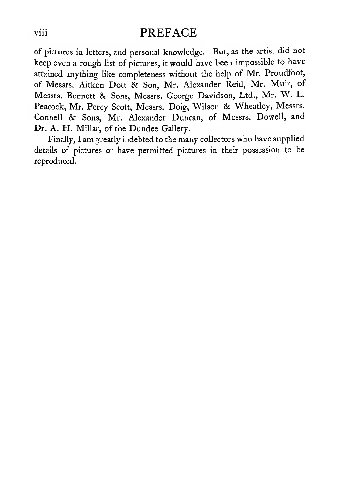#### viii PREFACE

of pictures in letters, and personal knowledge. But, as the artist did not keep even <sup>a</sup> rough list of pictures, it would have been impossible to have attained anything like completeness without the help of Mr. Proudfoot, of Messrs. Aitken Dott & Son, Mr. Alexander Reid, Mr. Muir, of Messrs. Bennett & Sons, Messrs. George Davidson, Ltd., Mr. W. L. Peacock, Mr. Percy Scott, Messrs. Doig, Wilson & Wheatley, Messrs. Connell & Sons, Mr. Alexander Duncan, of Messrs. Dowell, and Dr. A. H. Millar, of the Dundee Gallery.

Finally, <sup>I</sup> am greatly indebted to the many collectors who have supplied details of pictures or have permitted pictures in their possession to be reproduced.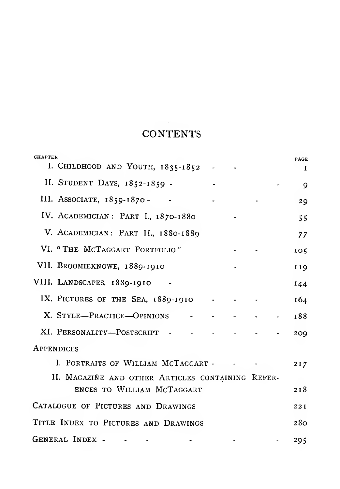#### **CONTENTS**

| <b>CHAPTER</b><br>I. CHILDHOOD AND YOUTH, 1835-1852 | <b>PAGE</b><br>$\mathbf{I}$ |
|-----------------------------------------------------|-----------------------------|
| II. STUDENT DAYS, 1852-1859 -                       | 9                           |
| III. ASSOCIATE, 1859-1870-                          | 29                          |
| IV. ACADEMICIAN: PART I., 1870-1880                 | 55                          |
| V. ACADEMICIAN: PART II., 1880-1889                 | 77                          |
| VI. "THE MCTAGGART PORTFOLIO"                       | 105                         |
| VII. BROOMIEKNOWE, 1889-1910                        | 119                         |
| VIII. LANDSCAPES, 1889-1910                         | 144                         |
| IX. PICTURES OF THE SEA, 1889-1910                  | 164                         |
| X. STYLE-PRACTICE-OPINIONS                          | 188                         |
| XI. PERSONALITY—POSTSCRIPT - -                      | 209                         |
| <b>APPENDICES</b>                                   |                             |
| I. PORTRAITS OF WILLIAM MCTAGGART -                 | 217                         |
| II. MAGAZIŃE AND OTHER ARTICLES CONTAINING REFER-   |                             |
| ENCES TO WILLIAM MCTAGGART                          | 218                         |
| CATALOGUE OF PICTURES AND DRAWINGS                  | 22I                         |
| TITLE INDEX TO PICTURES AND DRAWINGS                | 280                         |
| GENERAL INDEX -                                     | 295                         |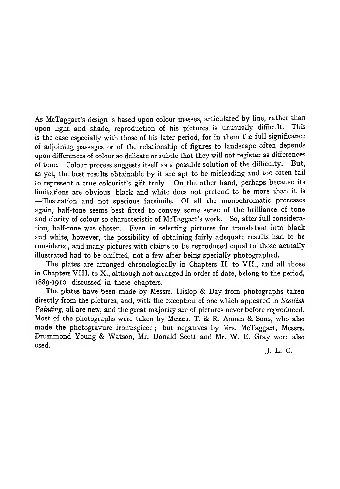As McTaggart's design is based upon colour masses, articulated by line, rather than<br>upon light and shade, reproduction of his pictures is upusually difficult. This upon light and shade, reproduction of his pictures is unusually difficult. is the case especially with those of his later period, for in them the full significance of adjoining passages or of the relationship of figures to landscape often depends upon differences of colour so delicate or subtle that they will not register as differences of tone. Colour process suggests itself as a possible solution of the difficulty. But, as yet, the best results obtainable by it are apt to be misleading and too often fail to represent a true colourist's gift truly. On the other hand, perhaps because its -illustration and not specious facsimile. Of all the monochromatic processes again, half-tone seems best fitted to convey some sense of the brilliance of tone and clarity of colour so characteristic of McTaggart's work. So, after full consideration, half-tone was chosen. Even in selecting pictures for translation into black and white, however, the possibility of obtaining fairly adequate results had to be considered, and many pictures with claims to be reproduced equal to' those actually illustrated had to be omitted, not a few after being specially photographed.

The plates are arranged chronologically in Chapters II. to VII., and all those in Chapters VIII. to X., although not arranged in order of date, belong to the period, 1889-1910, discussed in these chapters.

The plates have been made by Messrs. Hislop & Day from photographs taken directly from the pictures, and, with the exception of one which appeared in Scottish Painting, all are new, and the great majority are of pictures never before reproduced. Most of the photographs were taken by Messrs. T. & R. Annan & Sons, who also made the photogravure frontispiece ; but negatives by Mrs. McTaggart, Messrs. Drummond Young & Watson, Mr. Donald Scott and Mr. W. E. Gray were also used.

J. L. C.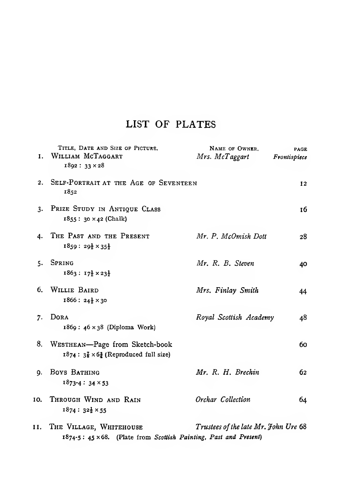#### LIST OF PLATES

| 1.  | TITLE, DATE AND SIZE OF PICTURE.<br>WILLIAM MCTAGGART<br>$1892: 33 \times 28$                     | NAME OF OWNER.<br>Mrs. McTaggart     | <b>PAGE</b><br>Frontispiece |
|-----|---------------------------------------------------------------------------------------------------|--------------------------------------|-----------------------------|
| 2.  | SELF-PORTRAIT AT THE AGE OF SEVENTEEN<br>1852                                                     |                                      | 12                          |
| 3.  | PRIZE STUDY IN ANTIQUE CLASS<br>$1855: 30 \times 42$ (Chalk)                                      |                                      | 16                          |
| 4.  | THE PAST AND THE PRESENT<br>$1859:29\frac{1}{2}\times35\frac{1}{2}$                               | Mr. P. McOmish Dott                  | 28                          |
|     | 5. SPRING<br>$1863: 17\frac{1}{2} \times 23\frac{1}{2}$                                           | Mr. R. B. Steven                     | 40                          |
|     | 6. WILLIE BAIRD<br>$1866: 24\frac{1}{2} \times 30$                                                | Mrs. Finlay Smith                    | 44                          |
| 7.  | DORA<br>$1869: 46 \times 38$ (Diploma Work)                                                       | Royal Scottish Academy               | 48                          |
| 8.  | WESTHEAN-Page from Sketch-book<br>$1874: 3\frac{7}{8} \times 6\frac{3}{4}$ (Reproduced full size) |                                      | 60                          |
| 9.  | Boys BATHING<br>$1873 - 4:34 \times 53$                                                           | Mr. R. H. Brechin                    | 62                          |
| 10. | THROUGH WIND AND RAIN<br>$1874: 32\frac{1}{2} \times 55$                                          | Orchar Collection                    | 64                          |
|     | II. THE VILLAGE, WHITEHOUSE                                                                       | Trustees of the late Mr. John Ure 68 |                             |

1874-5 : 45 x68. (Plate from Scottish Painting, Past and Present)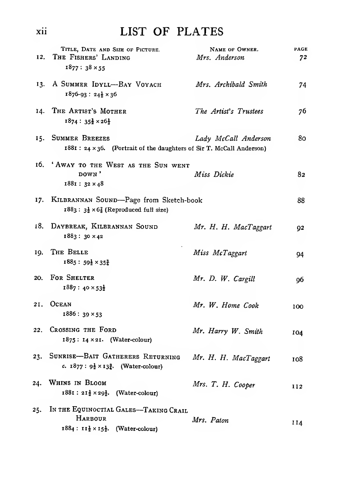### xii LIST OF PLATES

| 12. | TITLE, DATE AND SIZE OF PICTURE.<br>THE FISHERS' LANDING                                                        | NAME OF OWNER.<br>Mrs. Anderson | PAGE<br>72 |
|-----|-----------------------------------------------------------------------------------------------------------------|---------------------------------|------------|
|     | $1877:38 \times 55$                                                                                             |                                 |            |
|     | 13. A SUMMER IDYLL-BAY VOYACH<br>$1876-93: 24\frac{1}{2} \times 36$                                             | Mrs. Archibald Smith            | 74         |
|     | 14. THE ARTIST'S MOTHER<br>$1874:35\frac{1}{2}\times26\frac{1}{2}$                                              | The Artist's Trustees           | 76         |
|     | 15. SUMMER BREEZES<br>1881 : 24 × 36. (Portrait of the daughters of Sir T. McCall Anderson)                     | Lady McCall Anderson            | 80         |
|     | 16. 'AWAY TO THE WEST AS THE SUN WENT<br>DOWN'<br>$1881: 32 \times 48$                                          | Miss Dickie                     | 82         |
| 17. | KILBRANNAN SOUND-Page from Sketch-book<br>$1883: 3\frac{1}{2} \times 6\frac{7}{8}$ (Reproduced full size)       |                                 | 88         |
| 18. | DAYBREAK, KILBRANNAN SOUND<br>1883: 30 × 42                                                                     | Mr. H. H. MacTaggart            | 92         |
| 19. | THE BELLE<br>$1885: 59\frac{1}{2} \times 35\frac{3}{4}$                                                         | Miss McTaggart                  | 94         |
| 20. | <b>FOR SHELTER</b><br>$1887:40\times 53\frac{1}{2}$                                                             | Mr. D. W. Cargill               | 96         |
| 21. | <b>OCEAN</b><br>$1886:39\times53$                                                                               | Mr. W. Home Cook                | 100        |
| 22. | CROSSING THE FORD<br>$1875$ : $14 \times 21$ . (Water-colour)                                                   | Mr. Harry W. Smith              | 104        |
| 23. | SUNRISE-BAIT GATHERERS RETURNING<br>c. $1877: 9\frac{1}{2} \times 13\frac{3}{4}$ . (Water-colour)               | Mr. H. H. MacTaggart            | 108        |
| 24. | WHINS IN BLOOM<br>$1881: 21\frac{1}{2} \times 29\frac{1}{2}$ . (Water-colour)                                   | Mrs. T. H. Cooper               | 112        |
| 25. | IN THE EQUINOCTIAL GALES-TAKING CRAIL<br>HARBOUR<br>$1884: 11\frac{1}{2} \times 15\frac{1}{2}$ . (Water-colour) | Mrs. Paton                      | 114        |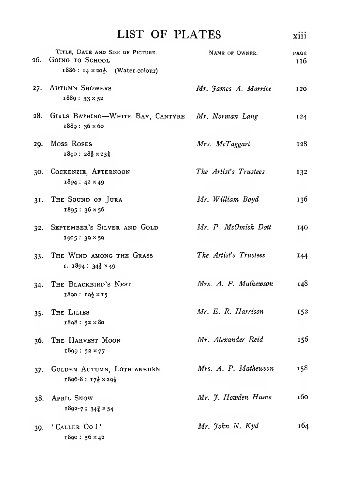| LIST OF PLATES                                          |                | $\cdots$<br><b>X111</b> |
|---------------------------------------------------------|----------------|-------------------------|
| TITLE, DATE AND SIZE OF PICTURE.<br>26. GOING TO SCHOOL | NAME OF OWNER. | <b>PAGE</b><br>116      |

| 27. AUTUMN SHOWERS | Mr. James A. Morrice | 120 |
|--------------------|----------------------|-----|
| $1889:33\times52$  |                      |     |

 $1886: 14 \times 20\frac{1}{2}$ . (Water-colour)

- 28. GIRLS BATHING—WHITE BAY, CANTYRE Mr. Norman Lang 124 1889 : 36 x6o
- 29. Moss Roses Mrs. McTaggart 128  $1890: 28\frac{5}{8} \times 23\frac{5}{8}$
- The Artist's Trustees 30. CocKENZiE, Afternoon 132 1894 : 42 X49
- 31. The Sound of Jura Mr. William Boyd 136 1895 : 36 X56
- 32. September's Silver and Gold Mr. P. McOmish Dott 140 1905: 39 × 59
- 33. The Wind among the Grass The Artist's Trustees **144** c.  $1894:34\frac{1}{2}\times 49$
- Mrs. A. P. Mathewson 34. THE BLACKBIRD'S NEST 148  $1890: 19\frac{1}{2} \times 15$
- 35. The Lilies Mr. E. R. Harrison 152 1898 : 52 X 80
- 36. The Harvest Moon Mr. Alexander Reid 156 1899 : 52 X77
- Mrs. A. P. Mathewson 158 37. Golden Autumn, Lothianburn  $1896-8: 17\frac{1}{2} \times 29\frac{1}{2}$
- Mr. 7. Howden Hume 160 38. April Snow  $1892 - 7$ ;  $34\frac{3}{4} \times 54$
- 39. 'CALLER Oo!' Mr. John N. Kyd 164 1890 : 56 X42